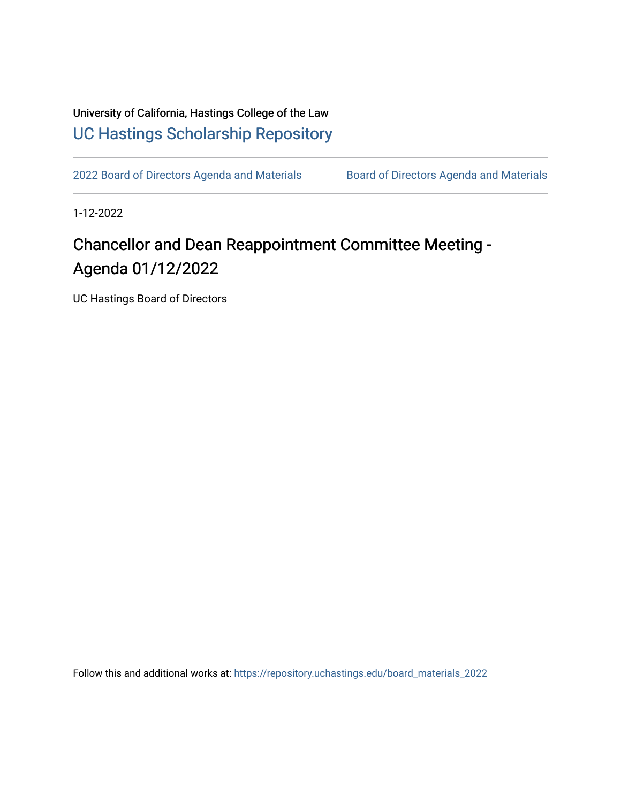University of California, Hastings College of the Law [UC Hastings Scholarship Repository](https://repository.uchastings.edu/) 

[2022 Board of Directors Agenda and Materials](https://repository.uchastings.edu/board_materials_2022) Board of Directors Agenda and Materials

1-12-2022

## Chancellor and Dean Reappointment Committee Meeting - Agenda 01/12/2022

UC Hastings Board of Directors

Follow this and additional works at: [https://repository.uchastings.edu/board\\_materials\\_2022](https://repository.uchastings.edu/board_materials_2022?utm_source=repository.uchastings.edu%2Fboard_materials_2022%2F1&utm_medium=PDF&utm_campaign=PDFCoverPages)